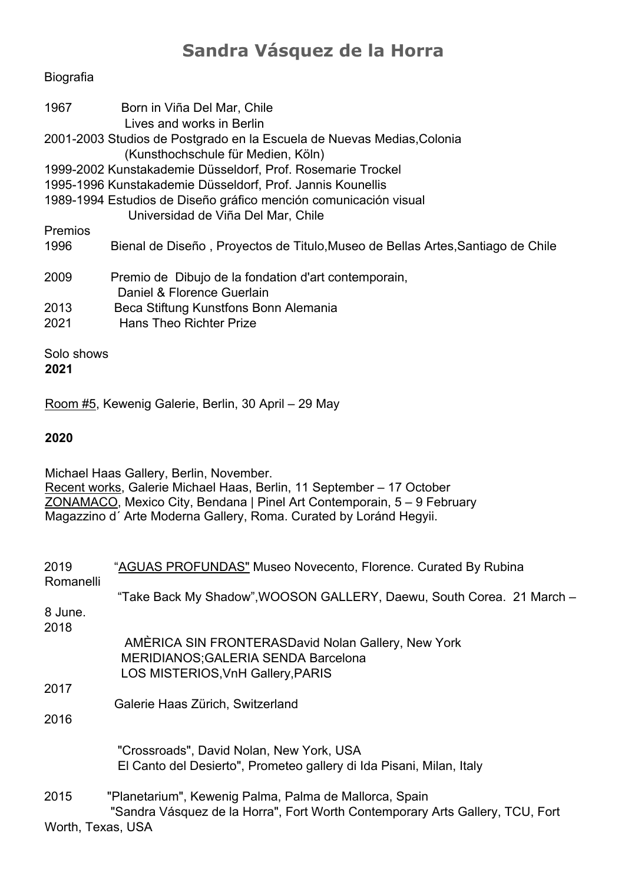## **Sandra Vásquez de la Horra**

## Biografia

| 1967         | Born in Viña Del Mar, Chile                                                     |
|--------------|---------------------------------------------------------------------------------|
|              | Lives and works in Berlin                                                       |
|              | 2001-2003 Studios de Postgrado en la Escuela de Nuevas Medias,Colonia           |
|              | (Kunsthochschule für Medien, Köln)                                              |
|              | 1999-2002 Kunstakademie Düsseldorf, Prof. Rosemarie Trockel                     |
|              | 1995-1996 Kunstakademie Düsseldorf, Prof. Jannis Kounellis                      |
|              | 1989-1994 Estudios de Diseño gráfico mención comunicación visual                |
|              | Universidad de Viña Del Mar, Chile                                              |
| Premios      |                                                                                 |
| 1996         | Bienal de Diseño, Proyectos de Titulo, Museo de Bellas Artes, Santiago de Chile |
| 2009         | Premio de Dibujo de la fondation d'art contemporain,                            |
|              | Daniel & Florence Guerlain                                                      |
| 2013         | Beca Stiftung Kunstfons Bonn Alemania                                           |
| 2021         | <b>Hans Theo Richter Prize</b>                                                  |
| Solo shows   |                                                                                 |
| <u> 8884</u> |                                                                                 |

**2021**

Room #5, Kewenig Galerie, Berlin, 30 April – 29 May

## **2020**

Michael Haas Gallery, Berlin, November. Recent works, Galerie Michael Haas, Berlin, 11 September – 17 October ZONAMACO, Mexico City, Bendana | Pinel Art Contemporain, 5 – 9 February Magazzino d´ Arte Moderna Gallery, Roma. Curated by Loránd Hegyii.

| 2019         | "AGUAS PROFUNDAS" Museo Novecento, Florence. Curated By Rubina                |
|--------------|-------------------------------------------------------------------------------|
| Romanelli    |                                                                               |
|              | "Take Back My Shadow", WOOSON GALLERY, Daewu, South Corea. 21 March -         |
| 8 June.      |                                                                               |
| 2018         |                                                                               |
|              | AMÈRICA SIN FRONTERASDavid Nolan Gallery, New York                            |
|              | <b>MERIDIANOS; GALERIA SENDA Barcelona</b>                                    |
|              | LOS MISTERIOS, VnH Gallery, PARIS                                             |
| 2017         |                                                                               |
|              | Galerie Haas Zürich, Switzerland                                              |
| 2016         |                                                                               |
|              |                                                                               |
|              | "Crossroads", David Nolan, New York, USA                                      |
|              | El Canto del Desierto", Prometeo gallery di Ida Pisani, Milan, Italy          |
| 2015         | "Planetarium", Kewenig Palma, Palma de Mallorca, Spain                        |
|              | "Sandra Vásquez de la Horra", Fort Worth Contemporary Arts Gallery, TCU, Fort |
| $\mathbf{M}$ | $\cdots$ $\cdots$ $\cdots$                                                    |

Worth, Texas, USA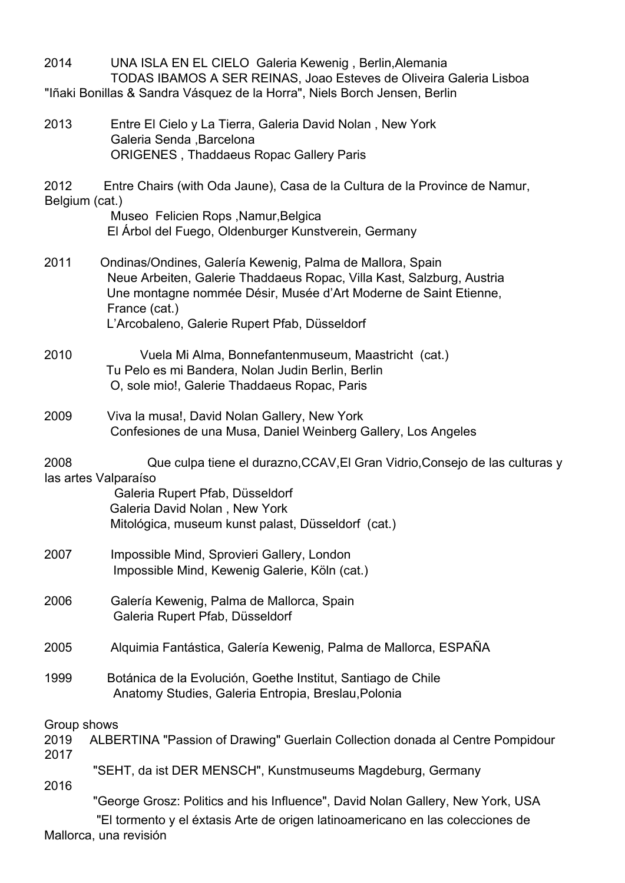2014 UNA ISLA EN EL CIELO Galeria Kewenig , Berlin,Alemania TODAS IBAMOS A SER REINAS, Joao Esteves de Oliveira Galeria Lisboa "Iñaki Bonillas & Sandra Vásquez de la Horra", Niels Borch Jensen, Berlin

2013 Entre El Cielo y La Tierra, Galeria David Nolan , New York Galeria Senda ,Barcelona ORIGENES , Thaddaeus Ropac Gallery Paris

2012 Entre Chairs (with Oda Jaune), Casa de la Cultura de la Province de Namur, Belgium (cat.)

 Museo Felicien Rops ,Namur,Belgica El Árbol del Fuego, Oldenburger Kunstverein, Germany

- 2011 Ondinas/Ondines, Galería Kewenig, Palma de Mallora, Spain Neue Arbeiten, Galerie Thaddaeus Ropac, Villa Kast, Salzburg, Austria Une montagne nommée Désir, Musée d'Art Moderne de Saint Etienne, France (cat.) L'Arcobaleno, Galerie Rupert Pfab, Düsseldorf
- 2010 Vuela Mi Alma, Bonnefantenmuseum, Maastricht (cat.) Tu Pelo es mi Bandera, Nolan Judin Berlin, Berlin O, sole mio!, Galerie Thaddaeus Ropac, Paris
- 2009 Viva la musa!, David Nolan Gallery, New York Confesiones de una Musa, Daniel Weinberg Gallery, Los Angeles
- 2008 Que culpa tiene el durazno,CCAV,El Gran Vidrio,Consejo de las culturas y las artes Valparaíso

 Galeria Rupert Pfab, Düsseldorf Galeria David Nolan , New York Mitológica, museum kunst palast, Düsseldorf (cat.)

- 2007 Impossible Mind, Sprovieri Gallery, London Impossible Mind, Kewenig Galerie, Köln (cat.)
- 2006 Galería Kewenig, Palma de Mallorca, Spain Galeria Rupert Pfab, Düsseldorf
- 2005 Alquimia Fantástica, Galería Kewenig, Palma de Mallorca, ESPAÑA
- 1999 Botánica de la Evolución, Goethe Institut, Santiago de Chile Anatomy Studies, Galeria Entropia, Breslau,Polonia

Group shows

- 2019 ALBERTINA "Passion of Drawing" Guerlain Collection donada al Centre Pompidour 2017
	- "SEHT, da ist DER MENSCH", Kunstmuseums Magdeburg, Germany
- 2016

"George Grosz: Politics and his Influence", David Nolan Gallery, New York, USA

 "El tormento y el éxtasis Arte de origen latinoamericano en las colecciones de Mallorca, una revisión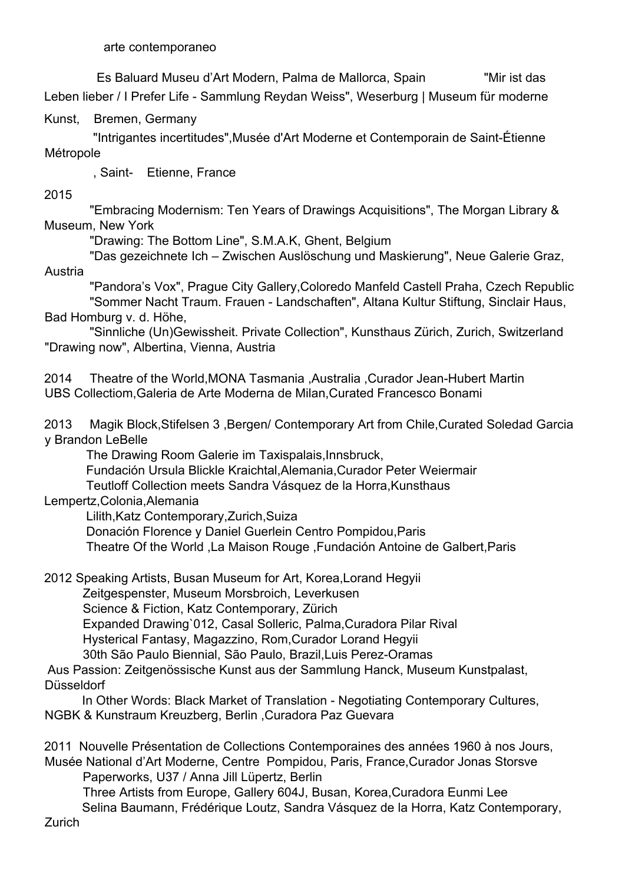arte contemporaneo

 Es Baluard Museu d'Art Modern, Palma de Mallorca, Spain "Mir ist das Leben lieber / I Prefer Life - Sammlung Reydan Weiss", Weserburg | Museum für moderne

Kunst, Bremen, Germany

 "Intrigantes incertitudes",Musée d'Art Moderne et Contemporain de Saint-Étienne Métropole

, Saint- Etienne, France

2015

 "Embracing Modernism: Ten Years of Drawings Acquisitions", The Morgan Library & Museum, New York

"Drawing: The Bottom Line", S.M.A.K, Ghent, Belgium

 "Das gezeichnete Ich – Zwischen Auslöschung und Maskierung", Neue Galerie Graz, Austria

 "Pandora's Vox", Prague City Gallery,Coloredo Manfeld Castell Praha, Czech Republic "Sommer Nacht Traum. Frauen - Landschaften", Altana Kultur Stiftung, Sinclair Haus, Bad Homburg v. d. Höhe,

 "Sinnliche (Un)Gewissheit. Private Collection", Kunsthaus Zürich, Zurich, Switzerland "Drawing now", Albertina, Vienna, Austria

2014 Theatre of the World,MONA Tasmania ,Australia ,Curador Jean-Hubert Martin UBS Collectiom,Galeria de Arte Moderna de Milan,Curated Francesco Bonami

2013 Magik Block,Stifelsen 3 ,Bergen/ Contemporary Art from Chile,Curated Soledad Garcia y Brandon LeBelle

The Drawing Room Galerie im Taxispalais,Innsbruck,

Fundación Ursula Blickle Kraichtal,Alemania,Curador Peter Weiermair

Teutloff Collection meets Sandra Vásquez de la Horra,Kunsthaus

Lempertz,Colonia,Alemania

Lilith,Katz Contemporary,Zurich,Suiza

 Donación Florence y Daniel Guerlein Centro Pompidou,Paris Theatre Of the World ,La Maison Rouge ,Fundación Antoine de Galbert,Paris

2012 Speaking Artists, Busan Museum for Art, Korea,Lorand Hegyii

Zeitgespenster, Museum Morsbroich, Leverkusen

Science & Fiction, Katz Contemporary, Zürich

Expanded Drawing`012, Casal Solleric, Palma,Curadora Pilar Rival

Hysterical Fantasy, Magazzino, Rom,Curador Lorand Hegyii

30th São Paulo Biennial, São Paulo, Brazil,Luis Perez-Oramas

Aus Passion: Zeitgenössische Kunst aus der Sammlung Hanck, Museum Kunstpalast, Düsseldorf

In Other Words: Black Market of Translation - Negotiating Contemporary Cultures, NGBK & Kunstraum Kreuzberg, Berlin ,Curadora Paz Guevara

2011 Nouvelle Présentation de Collections Contemporaines des années 1960 à nos Jours, Musée National d'Art Moderne, Centre Pompidou, Paris, France,Curador Jonas Storsve

Paperworks, U37 / Anna Jill Lüpertz, Berlin

Three Artists from Europe, Gallery 604J, Busan, Korea,Curadora Eunmi Lee Selina Baumann, Frédérique Loutz, Sandra Vásquez de la Horra, Katz Contemporary,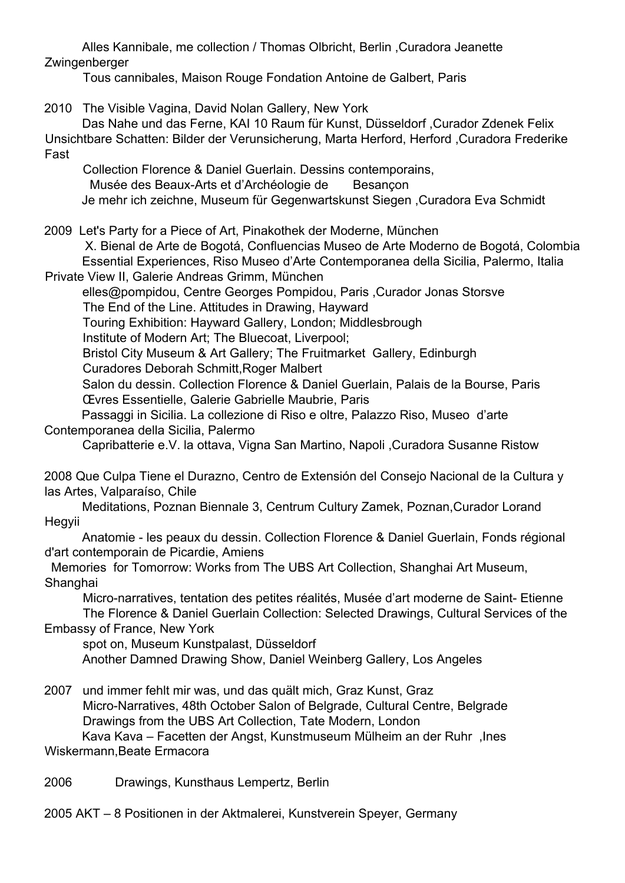Alles Kannibale, me collection / Thomas Olbricht, Berlin ,Curadora Jeanette Zwingenberger

Tous cannibales, Maison Rouge Fondation Antoine de Galbert, Paris

2010 The Visible Vagina, David Nolan Gallery, New York Das Nahe und das Ferne, KAI 10 Raum für Kunst, Düsseldorf ,Curador Zdenek Felix Unsichtbare Schatten: Bilder der Verunsicherung, Marta Herford, Herford ,Curadora Frederike Fast Collection Florence & Daniel Guerlain. Dessins contemporains, Musée des Beaux-Arts et d'Archéologie de Besançon Je mehr ich zeichne, Museum für Gegenwartskunst Siegen ,Curadora Eva Schmidt 2009 Let's Party for a Piece of Art, Pinakothek der Moderne, München X. Bienal de Arte de Bogotá, Confluencias Museo de Arte Moderno de Bogotá, Colombia Essential Experiences, Riso Museo d'Arte Contemporanea della Sicilia, Palermo, Italia Private View II, Galerie Andreas Grimm, München elles@pompidou, Centre Georges Pompidou, Paris ,Curador Jonas Storsve The End of the Line. Attitudes in Drawing, Hayward Touring Exhibition: Hayward Gallery, London; Middlesbrough Institute of Modern Art; The Bluecoat, Liverpool; Bristol City Museum & Art Gallery; The Fruitmarket Gallery, Edinburgh Curadores Deborah Schmitt,Roger Malbert Salon du dessin. Collection Florence & Daniel Guerlain, Palais de la Bourse, Paris Œvres Essentielle, Galerie Gabrielle Maubrie, Paris Passaggi in Sicilia. La collezione di Riso e oltre, Palazzo Riso, Museo d'arte Contemporanea della Sicilia, Palermo Capribatterie e.V. la ottava, Vigna San Martino, Napoli ,Curadora Susanne Ristow 2008 Que Culpa Tiene el Durazno, Centro de Extensión del Consejo Nacional de la Cultura y las Artes, Valparaíso, Chile Meditations, Poznan Biennale 3, Centrum Cultury Zamek, Poznan,Curador Lorand Hegyii Anatomie - les peaux du dessin. Collection Florence & Daniel Guerlain, Fonds régional d'art contemporain de Picardie, Amiens Memories for Tomorrow: Works from The UBS Art Collection, Shanghai Art Museum, **Shanghai** Micro-narratives, tentation des petites réalités, Musée d'art moderne de Saint- Etienne The Florence & Daniel Guerlain Collection: Selected Drawings, Cultural Services of the Embassy of France, New York spot on, Museum Kunstpalast, Düsseldorf Another Damned Drawing Show, Daniel Weinberg Gallery, Los Angeles 2007 und immer fehlt mir was, und das quält mich, Graz Kunst, Graz Micro-Narratives, 48th October Salon of Belgrade, Cultural Centre, Belgrade Drawings from the UBS Art Collection, Tate Modern, London Kava Kava – Facetten der Angst, Kunstmuseum Mülheim an der Ruhr ,Ines Wiskermann,Beate Ermacora 2006 Drawings, Kunsthaus Lempertz, Berlin 2005 AKT – 8 Positionen in der Aktmalerei, Kunstverein Speyer, Germany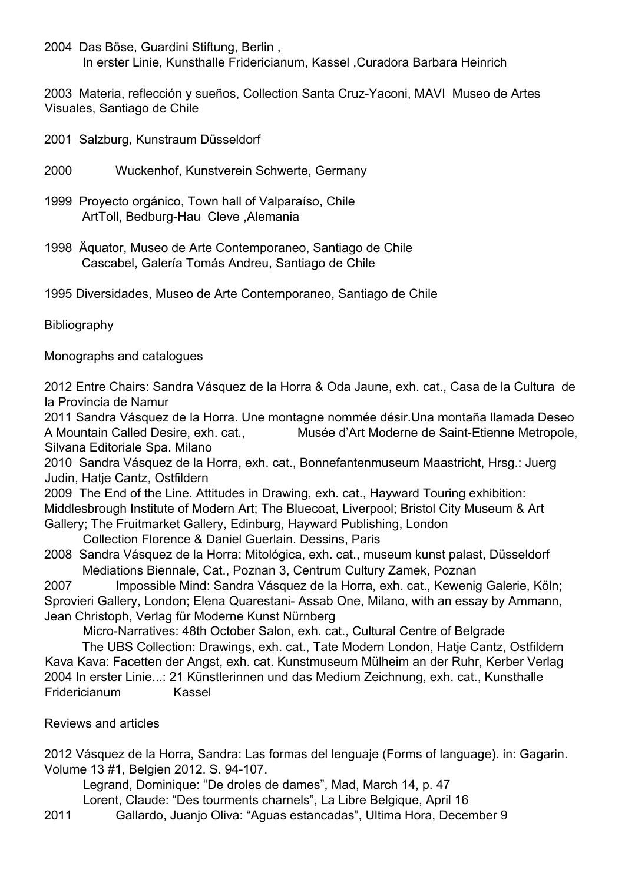2004 Das Böse, Guardini Stiftung, Berlin , In erster Linie, Kunsthalle Fridericianum, Kassel ,Curadora Barbara Heinrich

2003 Materia, reflección y sueños, Collection Santa Cruz-Yaconi, MAVI Museo de Artes Visuales, Santiago de Chile

- 2001 Salzburg, Kunstraum Düsseldorf
- 2000 Wuckenhof, Kunstverein Schwerte, Germany
- 1999 Proyecto orgánico, Town hall of Valparaíso, Chile ArtToll, Bedburg-Hau Cleve ,Alemania
- 1998 Äquator, Museo de Arte Contemporaneo, Santiago de Chile Cascabel, Galería Tomás Andreu, Santiago de Chile
- 1995 Diversidades, Museo de Arte Contemporaneo, Santiago de Chile

Bibliography

Monographs and catalogues

2012 Entre Chairs: Sandra Vásquez de la Horra & Oda Jaune, exh. cat., Casa de la Cultura de la Provincia de Namur

2011 Sandra Vásquez de la Horra. Une montagne nommée désir.Una montaña llamada Deseo A Mountain Called Desire, exh. cat., Musée d'Art Moderne de Saint-Etienne Metropole, Silvana Editoriale Spa. Milano

2010 Sandra Vásquez de la Horra, exh. cat., Bonnefantenmuseum Maastricht, Hrsg.: Juerg Judin, Hatje Cantz, Ostfildern

2009 The End of the Line. Attitudes in Drawing, exh. cat., Hayward Touring exhibition: Middlesbrough Institute of Modern Art; The Bluecoat, Liverpool; Bristol City Museum & Art Gallery; The Fruitmarket Gallery, Edinburg, Hayward Publishing, London

- Collection Florence & Daniel Guerlain. Dessins, Paris
- 2008 Sandra Vásquez de la Horra: Mitológica, exh. cat., museum kunst palast, Düsseldorf Mediations Biennale, Cat., Poznan 3, Centrum Cultury Zamek, Poznan

2007 Impossible Mind: Sandra Vásquez de la Horra, exh. cat., Kewenig Galerie, Köln; Sprovieri Gallery, London; Elena Quarestani- Assab One, Milano, with an essay by Ammann, Jean Christoph, Verlag für Moderne Kunst Nürnberg

Micro-Narratives: 48th October Salon, exh. cat., Cultural Centre of Belgrade

The UBS Collection: Drawings, exh. cat., Tate Modern London, Hatje Cantz, Ostfildern Kava Kava: Facetten der Angst, exh. cat. Kunstmuseum Mülheim an der Ruhr, Kerber Verlag 2004 In erster Linie...: 21 Künstlerinnen und das Medium Zeichnung, exh. cat., Kunsthalle Fridericianum Kassel

Reviews and articles

2012 Vásquez de la Horra, Sandra: Las formas del lenguaje (Forms of language). in: Gagarin. Volume 13 #1, Belgien 2012. S. 94-107.

Legrand, Dominique: "De droles de dames", Mad, March 14, p. 47 Lorent, Claude: "Des tourments charnels", La Libre Belgique, April 16

2011 Gallardo, Juanjo Oliva: "Aguas estancadas", Ultima Hora, December 9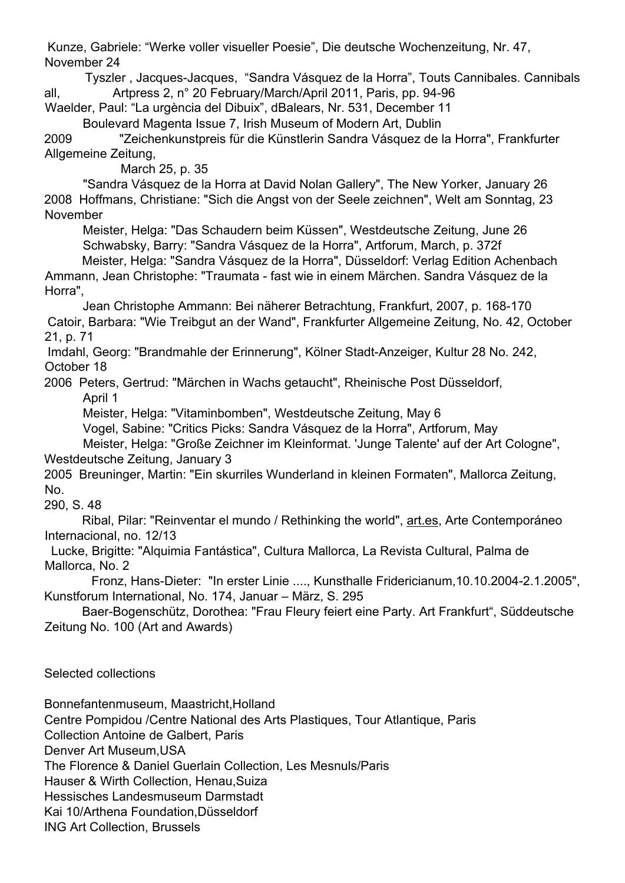Kunze, Gabriele: "Werke voller visueller Poesie", Die deutsche Wochenzeitung, Nr. 47, November 24

Tyszler , Jacques-Jacques, "Sandra Vásquez de la Horra", Touts Cannibales. Cannibals all, Artpress 2, n° 20 February/March/April 2011, Paris, pp. 94-96

Waelder, Paul: "La urgència del Dibuix", dBalears, Nr. 531, December 11 Boulevard Magenta Issue 7, Irish Museum of Modern Art, Dublin

2009 "Zeichenkunstpreis für die Künstlerin Sandra Vásquez de la Horra", Frankfurter Allgemeine Zeitung,

March 25, p. 35

"Sandra Vásquez de la Horra at David Nolan Gallery", The New Yorker, January 26 2008 Hoffmans, Christiane: "Sich die Angst von der Seele zeichnen", Welt am Sonntag, 23 November

Meister, Helga: "Das Schaudern beim Küssen", Westdeutsche Zeitung, June 26 Schwabsky, Barry: "Sandra Vásquez de la Horra", Artforum, March, p. 372f

Meister, Helga: "Sandra Vásquez de la Horra", Düsseldorf: Verlag Edition Achenbach Ammann, Jean Christophe: "Traumata - fast wie in einem Märchen. Sandra Vásquez de la Horra",

Jean Christophe Ammann: Bei näherer Betrachtung, Frankfurt, 2007, p. 168-170 Catoir, Barbara: "Wie Treibgut an der Wand", Frankfurter Allgemeine Zeitung, No. 42, October 21, p. 71

Imdahl, Georg: "Brandmahle der Erinnerung", Kölner Stadt-Anzeiger, Kultur 28 No. 242, October 18

2006 Peters, Gertrud: "Märchen in Wachs getaucht", Rheinische Post Düsseldorf, April 1

Meister, Helga: "Vitaminbomben", Westdeutsche Zeitung, May 6

Vogel, Sabine: "Critics Picks: Sandra Vásquez de la Horra", Artforum, May

Meister, Helga: "Große Zeichner im Kleinformat. 'Junge Talente' auf der Art Cologne", Westdeutsche Zeitung, January 3

2005 Breuninger, Martin: "Ein skurriles Wunderland in kleinen Formaten", Mallorca Zeitung, No.

290, S. 48

Ribal, Pilar: "Reinventar el mundo / Rethinking the world", art.es, Arte Contemporáneo Internacional, no. 12/13

 Lucke, Brigitte: "Alquimia Fantástica", Cultura Mallorca, La Revista Cultural, Palma de Mallorca, No. 2

Fronz, Hans-Dieter: "In erster Linie ...., Kunsthalle Fridericianum,10.10.2004-2.1.2005", Kunstforum International, No. 174, Januar – März, S. 295

Baer-Bogenschütz, Dorothea: "Frau Fleury feiert eine Party. Art Frankfurt", Süddeutsche Zeitung No. 100 (Art and Awards)

Selected collections

Bonnefantenmuseum, Maastricht,Holland

Centre Pompidou /Centre National des Arts Plastiques, Tour Atlantique, Paris

Collection Antoine de Galbert, Paris

Denver Art Museum,USA

The Florence & Daniel Guerlain Collection, Les Mesnuls/Paris

Hauser & Wirth Collection, Henau,Suiza

Hessisches Landesmuseum Darmstadt

Kai 10/Arthena Foundation,Düsseldorf

ING Art Collection, Brussels